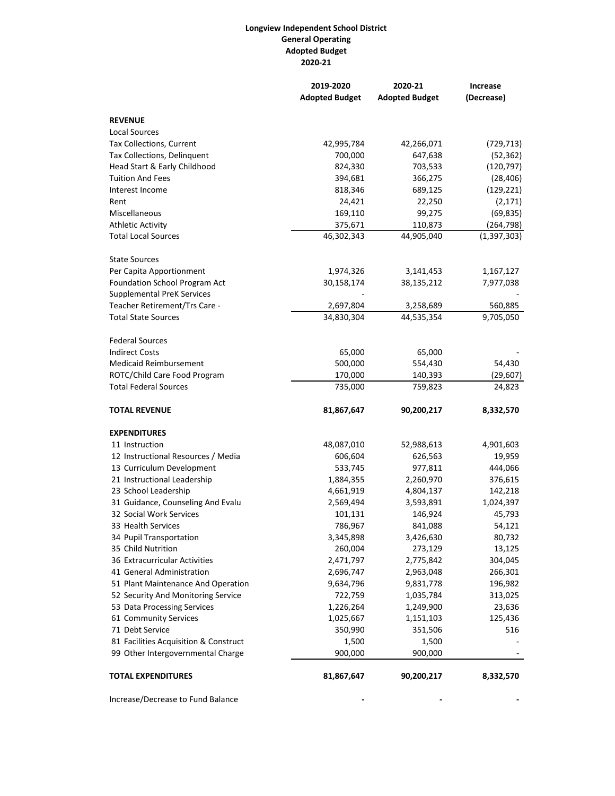## **Longview Independent School District General Operating Adopted Budget 2020-21**

|                                       | 2019-2020             | 2020-21               | Increase      |
|---------------------------------------|-----------------------|-----------------------|---------------|
|                                       | <b>Adopted Budget</b> | <b>Adopted Budget</b> | (Decrease)    |
| <b>REVENUE</b>                        |                       |                       |               |
| <b>Local Sources</b>                  |                       |                       |               |
| Tax Collections, Current              | 42,995,784            | 42,266,071            | (729, 713)    |
| Tax Collections, Delinquent           | 700,000               | 647,638               | (52, 362)     |
| Head Start & Early Childhood          | 824,330               | 703,533               | (120, 797)    |
| <b>Tuition And Fees</b>               | 394,681               | 366,275               | (28, 406)     |
| Interest Income                       | 818,346               | 689,125               | (129, 221)    |
| Rent                                  | 24,421                | 22,250                | (2, 171)      |
| Miscellaneous                         | 169,110               | 99,275                | (69, 835)     |
| <b>Athletic Activity</b>              | 375,671               | 110,873               | (264, 798)    |
| <b>Total Local Sources</b>            | 46,302,343            | 44,905,040            | (1, 397, 303) |
| <b>State Sources</b>                  |                       |                       |               |
| Per Capita Apportionment              | 1,974,326             | 3,141,453             | 1,167,127     |
| Foundation School Program Act         | 30,158,174            | 38,135,212            | 7,977,038     |
| <b>Supplemental PreK Services</b>     |                       |                       |               |
| Teacher Retirement/Trs Care -         | 2,697,804             | 3,258,689             | 560,885       |
| <b>Total State Sources</b>            | 34,830,304            | 44,535,354            | 9,705,050     |
| <b>Federal Sources</b>                |                       |                       |               |
| <b>Indirect Costs</b>                 | 65,000                | 65,000                |               |
| <b>Medicaid Reimbursement</b>         | 500,000               | 554,430               | 54,430        |
| ROTC/Child Care Food Program          | 170,000               | 140,393               | (29, 607)     |
| <b>Total Federal Sources</b>          | 735,000               | 759,823               | 24,823        |
| <b>TOTAL REVENUE</b>                  | 81,867,647            | 90,200,217            | 8,332,570     |
| <b>EXPENDITURES</b>                   |                       |                       |               |
| 11 Instruction                        | 48,087,010            | 52,988,613            | 4,901,603     |
| 12 Instructional Resources / Media    | 606,604               | 626,563               | 19,959        |
| 13 Curriculum Development             | 533,745               | 977,811               | 444,066       |
| 21 Instructional Leadership           | 1,884,355             | 2,260,970             | 376,615       |
| 23 School Leadership                  | 4,661,919             | 4,804,137             | 142,218       |
| 31 Guidance, Counseling And Evalu     | 2,569,494             | 3,593,891             | 1,024,397     |
| 32 Social Work Services               | 101,131               | 146,924               | 45,793        |
| 33 Health Services                    | 786,967               | 841,088               | 54,121        |
| 34 Pupil Transportation               | 3,345,898             | 3,426,630             | 80,732        |
| 35 Child Nutrition                    | 260,004               | 273,129               | 13,125        |
| 36 Extracurricular Activities         | 2,471,797             | 2,775,842             | 304,045       |
| 41 General Administration             | 2,696,747             | 2,963,048             | 266,301       |
| 51 Plant Maintenance And Operation    | 9,634,796             | 9,831,778             | 196,982       |
| 52 Security And Monitoring Service    | 722,759               | 1,035,784             | 313,025       |
| 53 Data Processing Services           | 1,226,264             | 1,249,900             | 23,636        |
| 61 Community Services                 | 1,025,667             | 1,151,103             | 125,436       |
| 71 Debt Service                       | 350,990               | 351,506               | 516           |
| 81 Facilities Acquisition & Construct | 1,500                 | 1,500                 |               |
| 99 Other Intergovernmental Charge     | 900,000               | 900,000               |               |
| <b>TOTAL EXPENDITURES</b>             | 81,867,647            | 90,200,217            | 8,332,570     |
|                                       |                       |                       |               |

Increase/Decrease to Fund Balance **- - -**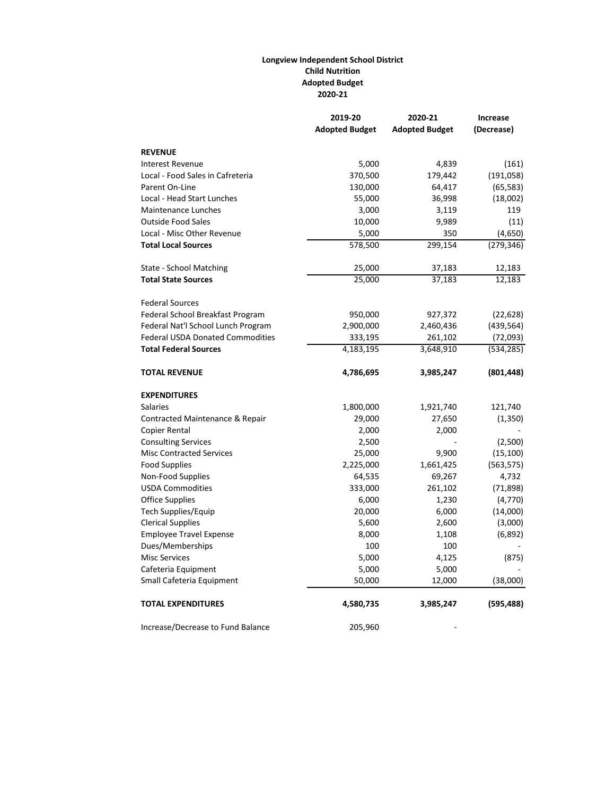## **Longview Independent School District Child Nutrition Adopted Budget 2020-21**

|                                         | 2019-20               | 2020-21               | <b>Increase</b> |
|-----------------------------------------|-----------------------|-----------------------|-----------------|
|                                         | <b>Adopted Budget</b> | <b>Adopted Budget</b> | (Decrease)      |
| <b>REVENUE</b>                          |                       |                       |                 |
| <b>Interest Revenue</b>                 | 5,000                 | 4,839                 | (161)           |
| Local - Food Sales in Cafreteria        | 370,500               | 179,442               | (191, 058)      |
| Parent On-Line                          | 130,000               | 64,417                | (65, 583)       |
| Local - Head Start Lunches              | 55,000                | 36,998                | (18,002)        |
| <b>Maintenance Lunches</b>              | 3,000                 | 3,119                 | 119             |
| <b>Outside Food Sales</b>               | 10,000                | 9,989                 | (11)            |
| Local - Misc Other Revenue              | 5,000                 | 350                   | (4,650)         |
| <b>Total Local Sources</b>              | 578,500               | 299,154               | (279, 346)      |
| State - School Matching                 | 25,000                | 37,183                | 12,183          |
| <b>Total State Sources</b>              | 25,000                | 37,183                | 12,183          |
| <b>Federal Sources</b>                  |                       |                       |                 |
| Federal School Breakfast Program        | 950,000               | 927,372               | (22, 628)       |
| Federal Nat'l School Lunch Program      | 2,900,000             | 2,460,436             | (439, 564)      |
| <b>Federal USDA Donated Commodities</b> | 333,195               | 261,102               | (72,093)        |
| <b>Total Federal Sources</b>            | 4,183,195             | 3,648,910             | (534, 285)      |
| <b>TOTAL REVENUE</b>                    | 4,786,695             | 3,985,247             | (801, 448)      |
| <b>EXPENDITURES</b>                     |                       |                       |                 |
| <b>Salaries</b>                         | 1,800,000             | 1,921,740             | 121,740         |
| Contracted Maintenance & Repair         | 29,000                | 27,650                | (1, 350)        |
| Copier Rental                           | 2,000                 | 2,000                 |                 |
| <b>Consulting Services</b>              | 2,500                 |                       | (2,500)         |
| <b>Misc Contracted Services</b>         | 25,000                | 9,900                 | (15, 100)       |
| <b>Food Supplies</b>                    | 2,225,000             | 1,661,425             | (563, 575)      |
| Non-Food Supplies                       | 64,535                | 69,267                | 4,732           |
| <b>USDA Commodities</b>                 | 333,000               | 261,102               | (71, 898)       |
| <b>Office Supplies</b>                  | 6,000                 | 1,230                 | (4, 770)        |
| Tech Supplies/Equip                     | 20,000                | 6,000                 | (14,000)        |
| <b>Clerical Supplies</b>                | 5,600                 | 2,600                 | (3,000)         |
| <b>Employee Travel Expense</b>          | 8,000                 | 1,108                 | (6, 892)        |
| Dues/Memberships                        | 100                   | 100                   |                 |
| <b>Misc Services</b>                    | 5,000                 | 4,125                 | (875)           |
| Cafeteria Equipment                     | 5,000                 | 5,000                 |                 |
| Small Cafeteria Equipment               | 50,000                | 12,000                | (38,000)        |
| <b>TOTAL EXPENDITURES</b>               | 4,580,735             | 3,985,247             | (595, 488)      |
| Increase/Decrease to Fund Balance       | 205,960               |                       |                 |